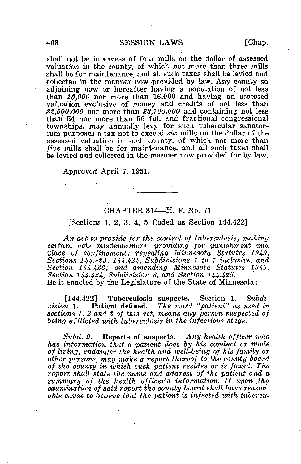shall not be in excess of four mills on the dollar of assessed valuation in the county, of which not more than three mills shall be for maintenance, and all such taxes shall be levied and collected in the manner now provided by law. Any county so adjoining now or hereafter having a population of not less than 13,000 nor more than 16,000 and having an assessed valuation exclusive of money and credits of not less than  $$2,500,000$  nor more than  $$3,700,000$  and containing not less than 54 nor more than 56 full and fractional congressional townships, may annually levy for such tubercular sanatorium purposes a tax not to exceed six mills on the dollar of the assessed valuation in such county, of which not more than five mills shall be for maintenance, and all such taxes shall be levied and collected in the manner now provided for by law.

Approved April 7, 1951.

## CHAPTER 314—H. F. No. 71

### [Sections 1, 2, 3, 4, 5 Coded as Section 144.422]

An act to provide for the control of tuberculosis; making certain acts misdemeanors, providing for punishment and place of confinement; repealing Minnesota Statutes 1949, Sections 144.423, 144.424, Subdivisions 1 to 7 inclusive, and Section 144-426; and amending Minnesota Statutes 1949, Section 144-424, Subdivision 8, and Section 144-425. Be it enacted by the Legislature of the State of Minnesota:

[144.422] Tuberculosis suspects. Section 1. Subdivision 1. Patient defined. The word "patient" as used in sections 1, 2 and 3 of this act, means any person suspected of being afflicted with tuberculosis in the infectious stage.

Subd. 2. Reports of suspects. Any health officer who has information that a patient does by his conduct or mode of living, endanger the health and well-being of his family or other persons, may make a report thereof to the county board of the county in which such patient resides or is found. The report shall state the name and address of the patient and a summary of the health officer's information. If upon the examination of said report the county board shall have reasonable cause to believe that the patient is infected with tubercu-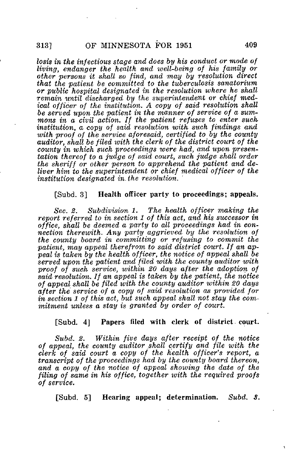losis in the infectious stage and does by his conduct or mode of living, endanger the health and well-being of his family or other persons it shall so find, and may by resolution direct that the patient be committed to the tuberculosis sanatorium or public hospital designated in the resolution where he shall remain until discharged by the superintendent or chief medical officer of the institution. A copy of said resolution shall be served upon the patient in the manner of service of a summons in a civil action. If the patient refuses to enter such institution, a copy of said resolution with such findings and with proof of the service aforesaid, certified to by the county auditor, shall be filed with the clerk of the district court of the county in which such proceedings were had, and upon presentation thereof to a judge of said court, such judge shall order the sheriff or other person to apprehend the patient and deliver him to the superintendent or chief medical officer of the institution designated in. the resolution.

#### [Subd. 3] Health officer party to proceedings; appeals.

Sec. 2. Subdivision 1. The health officer making the report referred to in section 1 of this act, and his successor in office, shall be deemed a party to all proceedings had in connection therewith. Any party aggrieved by the resolution of the county board in committing or refusing to commit the patient, may appeal therefrom to said district court. If an appeal is taken by the health officer, the notice of appeal shall be served upon the patient and filed with the county auditor with proof of such service, within 20 days after the adoption of said resolution. If an appeal is taken by the patient, the notice of appeal shall be filed with the county auditor within 20 days after the service of a copy of said resolution as provided for in section 1 of this act, but such appeal shall not stay the commitment unless a stay is granted by order of court.

#### [Subd. 4] Papers filed with clerk of district court.

Subd. 2. Within five days after receipt of the notice of appeal, the county auditor shall certify and file with the clerk of said court a copy of the health officer's report, a transcript of the proceedings had by the county board thereon, and a copy of the notice of appeal showing the date of the filing of same in his office, together with the required proofs of service.

[Subd. 5] Hearing appeal; determination. Subd. 3.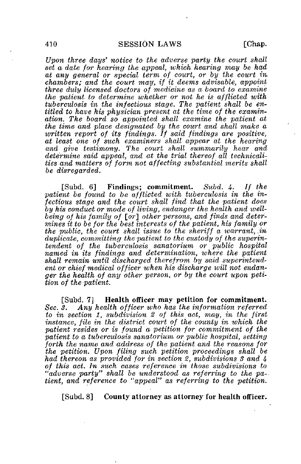Upon three days' notice to the adverse party the court shall set a date for hearing the appeal, which hearing may be had at any general or special term of court, or by the court in, chambers; and the court may, if it deems advisable, appoint three duly licensed doctors of medicine as a board to examine the patient to determine whether or not he is afflicted with tuberculosis in the infectious stage. The patient shall be entitled to have his physician present at the time of the examination. The board so appointed shall examine the patient at the time and place designated by the court and shall make a written report of its findings. If said findings are positive, at least one of such examiners shall appear at the hearing and give testimony. The court shall summarily hear and determine said appeal, and at the trial thereof all technicalities and matters of form not affecting substantial merits shall be disregarded.

[Subd. 6] Findings; commitment. Subd. 4. If the patient be found to be afflicted with tuberculosis in the infectious stage and the court shall find that the patient does by his conduct or mode of living, endanger the health and wellbeing of his family of [or] other persons, and finds and determines it to be for the best interests of the patient, his family or the public, the court shall issue to the sheriff a warrant,  $\dot{m}$ duplicate, committing the patient to the custody of the superintendent of the tuberculosis sanatorium, or public hospital named in its findings and determination, where the patient shall remain until discharged therefrom by said superintendent or chief medical officer when his discharge will not endanger the health of any other person, or by the court upon petition of the patient.

[Subd. 7] Health officer may petition for commitment. Sec. 3. Any health officer who has the information referred to in section 1, subdivision 2 of this act, may, in the first instance, file in the district court of the county in which the patient resides or is found a petition for commitment of the patient to a tuberculosis sanatorium or public hospital, setting forth the name and address of the patient and the reasons for the petition. Upon filing such petition proceedings shall be had thereon as provided for in section 2, subdivisions 3 and 4 of this act. In such cases reference in those subdivisions to "adverse party" shall be understood as referring to the patient, and reference to "appeal" as referring to the petition.

[Subd. 8] County attorney as attorney for health officer.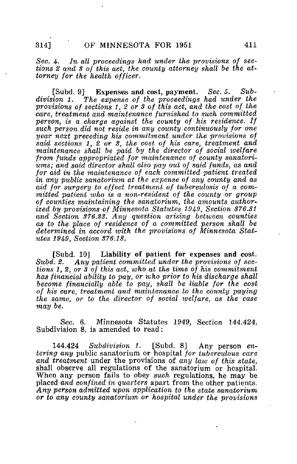Sec. 4. In all proceedings had under the provisions of sections 2 and 3 of this act, the county attorney shall be the attorney for the health officer.

[Subd. 9] Expenses and cost, payment. Sec. 5.  $Sub$ division 1. The expense of the proceedings had under the provisions of sections 1, 2 or 3 of this act, and the cost of the care, treatment and maintenance furnished to such committed person, is a charge against the county of his residence. If such person did not reside in any county continuously for one year next preceding his commitment under the provisions of said sections 1, 2 or 3, the cost of his care, treatment and maintenance shall be paid by the director of social welfare from funds appropriated 'for maintenance of county sanatoriums; and said director shall also pay out of said funds, as and for aid in the maintenance of each committed patient treated in any public sanatorium at the expense of any county and as aid for surgery to effect treatment of tuberculosis of a committed patient who is a non-resident of the county or group of counties maintaining the sanatorium,, the amounts authorized by provisions of Minnesota Statutes 1949, Section 376.31 and Section 376.33. Any question arising between counties as to the place of residence of a committed person shall be determined in accord with the provisions of Minnesota Statutes 1949, Section 376.18.

[Subd. 10] Liability of patient for expenses and cost.<br>Subd. 2. Any patient committed under the provisions of sec-Any patient committed under the provisions of sections 1, 2, or 3 of this act, who at the time of his commitment has financial ability to pay, or who prior to his discharge shall become financially able to pay, shall be liable for the cost of his care, treatment and maintenance to the county paying the same, or to the director of social welfare, as the case may be.

Sec. 6. Minnesota Statutes 1949, Section 144.424, Subdivision 8, is amended to read:

144.424 Subdivision 1. [Subd. 8] Any person entering any public sanatorium or hospital for tuberculous care and treatment under the provisions of any law of this state, shall observe all regulations of the sanatorium or hospital. When any person fails to obey such regulations, he may be placed and confined in quarters apart from the other patients. Any person admitted upon application to the state sanatorium or to any county sanatorium or hospital under the provisions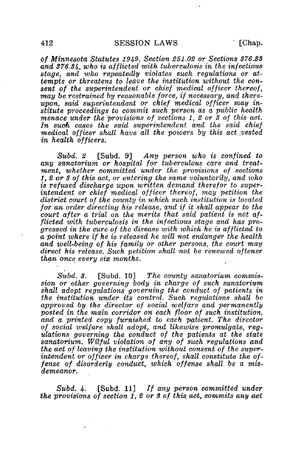of Minnesota Statutes 1949, Section 251,02 or Sections 376.33 and 376.34, who is afflicted with tuberculosis in the infectious stage, and who repeatedly violates such regulations or attempts or threatens to leave the institution without the consent of the superintendent or chief medical officer thereof, •may be restrained by reasonable force, if necessary, and thereupon, said superintendent or chief medical officer may institute proceedings to commit such person as a public health menace under the provisions of sections 1, 2 or 3 of this act. In such cases the said superintendent and the said chief medical officer shall have all the powers by this act .vested in health o'fficers.

Subd. 2 [Subd. 9] Any person who is confined to any sanatorium or hospital for tuberculous care and treatment, whether committed under the provisions of sections 1, 2 or 3 of this act, or entering the same voluntarily, and who is refused discharge upon written demand therefor to superintendent or chief medical officer thereof, may petition the district court of the county in which such institution is located for an order directing his release, and if it shall appear to the court after a trial on the merits that said patient is not afflicted with tuberculosis in the infectious stage and has progressed in the cure of the disease with which he is afflicted to a point where if he is released he will not endanger the health and well-being of his family or other persons, the court may direct his release. Such petition shall not be renewed oftener than once every six months.

 $Subd. 3.$  [Subd. 10] The county sanatorium commission or other governing body in charge of such sanatorium shall adopt regulations governing the conduct of patients in the institution under its control. Such regulations shall be approved by the director of social ivelfare and permanently posted in the main corridor on each floor of such institution, and a printed copy furnished to each patient. The director of social welfare shall adopt, and likewise promulgate, regulations governing the conduct of the patients at the state sanatorium. Wilful violation of any of such regulations and the act of leaving the institution without consent of the superintendent or officer in charge thereof, shall constitute the offense of. disorderly conduct, which offense shall be a misdemeanor.

Subd. 4.  $\Box$  [Subd. 11] If any person committed under the provisions of section 1, 2 or 3 of this act, commits any act